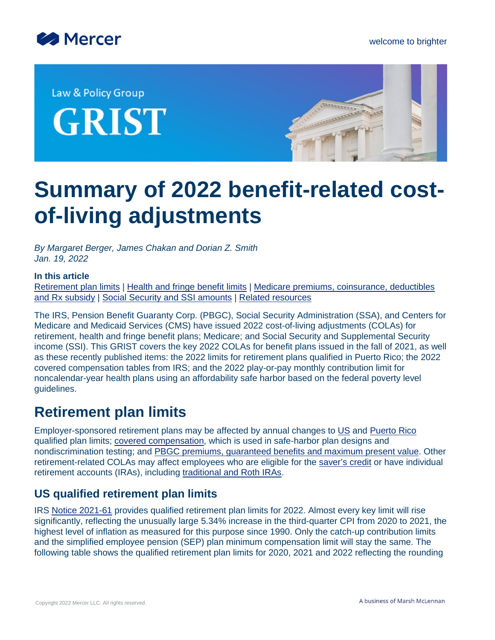

Law & Policy Group

**GRIST** 



# **Summary of 2022 benefit-related costof-living adjustments**

*By Margaret Berger, James Chakan and Dorian Z. Smith Jan. 19, 2022*

#### **In this article**

[Retirement plan limits](#page-0-0) | [Health and fringe benefit limits](#page-9-0) | [Medicare premiums, coinsurance, deductibles](#page-14-0) [and Rx subsidy](#page-14-0) | [Social Security and SSI amounts](#page-18-0) | [Related resources](#page-19-0)

The IRS, Pension Benefit Guaranty Corp. (PBGC), Social Security Administration (SSA), and Centers for Medicare and Medicaid Services (CMS) have issued 2022 cost-of-living adjustments (COLAs) for retirement, health and fringe benefit plans; Medicare; and Social Security and Supplemental Security income (SSI). This GRIST covers the key 2022 COLAs for benefit plans issued in the fall of 2021, as well as these recently published items: the 2022 limits for retirement plans qualified in Puerto Rico; the 2022 covered compensation tables from IRS; and the 2022 play-or-pay monthly contribution limit for noncalendar-year health plans using an affordability safe harbor based on the federal poverty level guidelines.

# <span id="page-0-0"></span>**Retirement plan limits**

Employer-sponsored retirement plans may be affected by annual changes to [US](#page-0-1) and [Puerto Rico](#page-2-0) qualified plan limits; [covered compensation,](#page-2-1) which is used in safe-harbor plan designs and nondiscrimination testing; and [PBGC premiums, guaranteed benefits and maximum present value](#page-6-0). Other retirement-related COLAs may affect employees who are eligible for the [saver's credit](#page-8-0) or have individual retirement accounts (IRAs), including [traditional and Roth IRAs](#page-8-1).

## <span id="page-0-1"></span>**US qualified retirement plan limits**

IRS [Notice 2021-61](https://www.irs.gov/pub/irs-drop/n-21-61.pdf) provides qualified retirement plan limits for 2022. Almost every key limit will rise significantly, reflecting the unusually large 5.34% increase in the third-quarter CPI from 2020 to 2021, the highest level of inflation as measured for this purpose since 1990. Only the catch-up contribution limits and the simplified employee pension (SEP) plan minimum compensation limit will stay the same. The following table shows the qualified retirement plan limits for 2020, 2021 and 2022 reflecting the rounding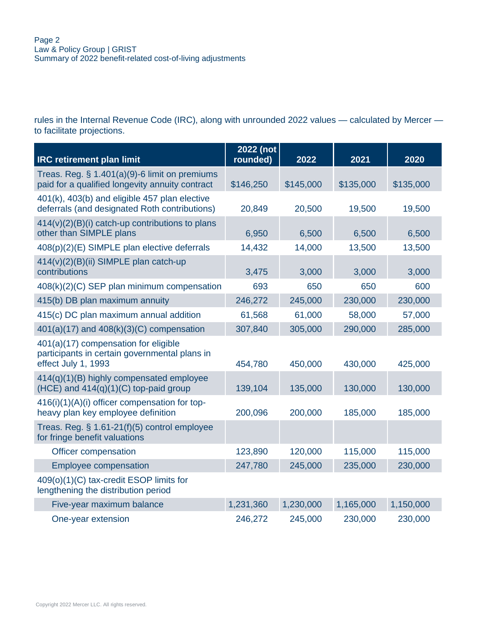rules in the Internal Revenue Code (IRC), along with unrounded 2022 values — calculated by Mercer to facilitate projections.

| <b>IRC retirement plan limit</b>                                                                             | 2022 (not<br>rounded) | 2022      | 2021      | 2020      |
|--------------------------------------------------------------------------------------------------------------|-----------------------|-----------|-----------|-----------|
| Treas. Reg. $\S$ 1.401(a)(9)-6 limit on premiums<br>paid for a qualified longevity annuity contract          | \$146,250             | \$145,000 | \$135,000 | \$135,000 |
|                                                                                                              |                       |           |           |           |
| 401(k), 403(b) and eligible 457 plan elective<br>deferrals (and designated Roth contributions)               | 20,849                | 20,500    | 19,500    | 19,500    |
| 414(v)(2)(B)(i) catch-up contributions to plans<br>other than SIMPLE plans                                   | 6,950                 | 6,500     | 6,500     | 6,500     |
| 408(p)(2)(E) SIMPLE plan elective deferrals                                                                  | 14,432                | 14,000    | 13,500    | 13,500    |
| 414(v)(2)(B)(ii) SIMPLE plan catch-up<br>contributions                                                       | 3,475                 | 3,000     | 3,000     | 3,000     |
| 408(k)(2)(C) SEP plan minimum compensation                                                                   | 693                   | 650       | 650       | 600       |
| 415(b) DB plan maximum annuity                                                                               | 246,272               | 245,000   | 230,000   | 230,000   |
| 415(c) DC plan maximum annual addition                                                                       | 61,568                | 61,000    | 58,000    | 57,000    |
| 401(a)(17) and 408(k)(3)(C) compensation                                                                     | 307,840               | 305,000   | 290,000   | 285,000   |
| 401(a)(17) compensation for eligible<br>participants in certain governmental plans in<br>effect July 1, 1993 | 454,780               | 450,000   | 430,000   | 425,000   |
| 414(q)(1)(B) highly compensated employee<br>$(HCE)$ and $414(q)(1)(C)$ top-paid group                        | 139,104               | 135,000   | 130,000   | 130,000   |
| 416(i)(1)(A)(i) officer compensation for top-<br>heavy plan key employee definition                          | 200,096               | 200,000   | 185,000   | 185,000   |
| Treas. Reg. $\S$ 1.61-21(f)(5) control employee<br>for fringe benefit valuations                             |                       |           |           |           |
| Officer compensation                                                                                         | 123,890               | 120,000   | 115,000   | 115,000   |
| <b>Employee compensation</b>                                                                                 | 247,780               | 245,000   | 235,000   | 230,000   |
| 409(o)(1)(C) tax-credit ESOP limits for<br>lengthening the distribution period                               |                       |           |           |           |
| Five-year maximum balance                                                                                    | 1,231,360             | 1,230,000 | 1,165,000 | 1,150,000 |
| One-year extension                                                                                           | 246,272               | 245,000   | 230,000   | 230,000   |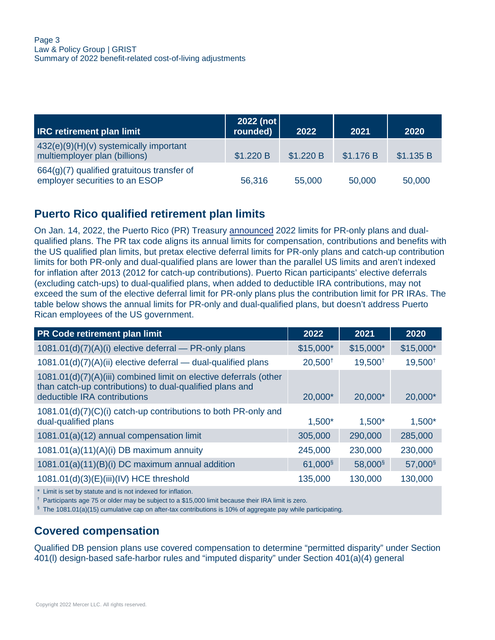| <b>IRC retirement plan limit</b>                                             | 2022 (not<br>rounded) | 2022      | 2021      | 2020      |
|------------------------------------------------------------------------------|-----------------------|-----------|-----------|-----------|
| 432(e)(9)(H)(v) systemically important<br>multiemployer plan (billions)      | \$1.220 B             | \$1.220 B | \$1.176 B | \$1.135 B |
| 664(g)(7) qualified gratuitous transfer of<br>employer securities to an ESOP | 56,316                | 55,000    | 50,000    | 50,000    |

## <span id="page-2-0"></span>**Puerto Rico qualified retirement plan limits**

On Jan. 14, 2022, the Puerto Rico (PR) Treasury [announced](http://www.hacienda.gobierno.pr/publicaciones/carta-circular-de-rentas-internas-num-22-01-cc-ri-22-01) 2022 limits for PR-only plans and dualqualified plans. The PR tax code aligns its annual limits for compensation, contributions and benefits with the US qualified plan limits, but pretax elective deferral limits for PR-only plans and catch-up contribution limits for both PR-only and dual-qualified plans are lower than the parallel US limits and aren't indexed for inflation after 2013 (2012 for catch-up contributions). Puerto Rican participants' elective deferrals (excluding catch-ups) to dual-qualified plans, when added to deductible IRA contributions, may not exceed the sum of the elective deferral limit for PR-only plans plus the contribution limit for PR IRAs. The table below shows the annual limits for PR-only and dual-qualified plans, but doesn't address Puerto Rican employees of the US government.

| PR Code retirement plan limit                                                                                                                                 | 2022                | 2021                | 2020                |
|---------------------------------------------------------------------------------------------------------------------------------------------------------------|---------------------|---------------------|---------------------|
| 1081.01(d)(7)(A)(i) elective deferral - PR-only plans                                                                                                         | $$15,000*$          | $$15,000*$          | $$15,000*$          |
| 1081.01(d)(7)(A)(ii) elective deferral - dual-qualified plans                                                                                                 | $20,500^+$          | 19,500 <sup>t</sup> | $19,500^+$          |
| 1081.01(d)(7)(A)(iii) combined limit on elective deferrals (other<br>than catch-up contributions) to dual-qualified plans and<br>deductible IRA contributions | 20,000*             | 20,000*             | 20,000*             |
| 1081.01(d)(7)(C)(i) catch-up contributions to both PR-only and<br>dual-qualified plans                                                                        | $1,500*$            | $1,500*$            | $1,500*$            |
| 1081.01(a)(12) annual compensation limit                                                                                                                      | 305,000             | 290,000             | 285,000             |
| $1081.01(a)(11)(A)(i)$ DB maximum annuity                                                                                                                     | 245,000             | 230,000             | 230,000             |
| 1081.01(a)(11)(B)(i) DC maximum annual addition                                                                                                               | 61,000 <sup>§</sup> | 58,000 <sup>§</sup> | 57,000 <sup>§</sup> |
| 1081.01(d)(3)(E)(iii)(IV) HCE threshold                                                                                                                       | 135,000             | 130,000             | 130,000             |
| * Limit is set by statute and is not indexed for inflation.                                                                                                   |                     |                     |                     |

† Participants age 75 or older may be subject to a \$15,000 limit because their IRA limit is zero.

 $$$  The 1081.01(a)(15) cumulative cap on after-tax contributions is 10% of aggregate pay while participating.

#### <span id="page-2-1"></span>**Covered compensation**

Qualified DB pension plans use covered compensation to determine "permitted disparity" under Section 401(l) design-based safe-harbor rules and "imputed disparity" under Section 401(a)(4) general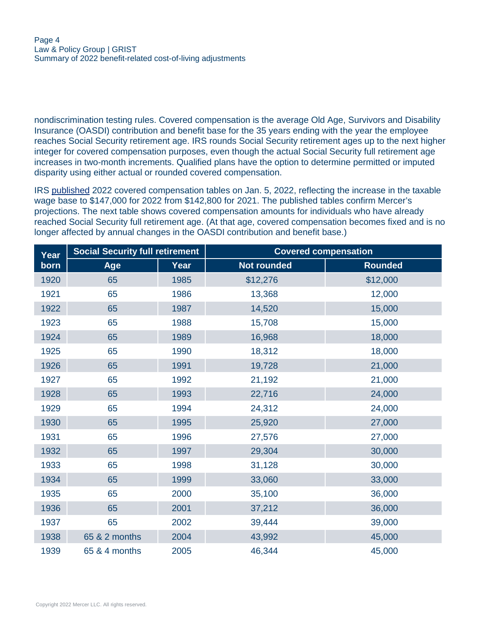nondiscrimination testing rules. Covered compensation is the average Old Age, Survivors and Disability Insurance (OASDI) contribution and benefit base for the 35 years ending with the year the employee reaches Social Security retirement age. IRS rounds Social Security retirement ages up to the next higher integer for covered compensation purposes, even though the actual Social Security full retirement age increases in two-month increments. Qualified plans have the option to determine permitted or imputed disparity using either actual or rounded covered compensation.

IRS [published](https://www.irs.gov/pub/irs-drop/rr-22-02.pdf) 2022 covered compensation tables on Jan. 5, 2022, reflecting the increase in the taxable wage base to \$147,000 for 2022 from \$142,800 for 2021. The published tables confirm Mercer's projections. The next table shows covered compensation amounts for individuals who have already reached Social Security full retirement age. (At that age, covered compensation becomes fixed and is no longer affected by annual changes in the OASDI contribution and benefit base.)

| Year | <b>Social Security full retirement</b> |      | <b>Covered compensation</b> |                |  |  |
|------|----------------------------------------|------|-----------------------------|----------------|--|--|
| born | Age                                    | Year | <b>Not rounded</b>          | <b>Rounded</b> |  |  |
| 1920 | 65                                     | 1985 | \$12,276                    | \$12,000       |  |  |
| 1921 | 65                                     | 1986 | 13,368                      | 12,000         |  |  |
| 1922 | 65                                     | 1987 | 14,520                      | 15,000         |  |  |
| 1923 | 65                                     | 1988 | 15,708                      | 15,000         |  |  |
| 1924 | 65                                     | 1989 | 16,968                      | 18,000         |  |  |
| 1925 | 65                                     | 1990 | 18,312                      | 18,000         |  |  |
| 1926 | 65                                     | 1991 | 19,728                      | 21,000         |  |  |
| 1927 | 65                                     | 1992 | 21,192                      | 21,000         |  |  |
| 1928 | 65                                     | 1993 | 22,716                      | 24,000         |  |  |
| 1929 | 65                                     | 1994 | 24,312                      | 24,000         |  |  |
| 1930 | 65                                     | 1995 | 25,920                      | 27,000         |  |  |
| 1931 | 65                                     | 1996 | 27,576                      | 27,000         |  |  |
| 1932 | 65                                     | 1997 | 29,304                      | 30,000         |  |  |
| 1933 | 65                                     | 1998 | 31,128                      | 30,000         |  |  |
| 1934 | 65                                     | 1999 | 33,060                      | 33,000         |  |  |
| 1935 | 65                                     | 2000 | 35,100                      | 36,000         |  |  |
| 1936 | 65                                     | 2001 | 37,212                      | 36,000         |  |  |
| 1937 | 65                                     | 2002 | 39,444                      | 39,000         |  |  |
| 1938 | 65 & 2 months                          | 2004 | 43,992                      | 45,000         |  |  |
| 1939 | 65 & 4 months                          | 2005 | 46,344                      | 45,000         |  |  |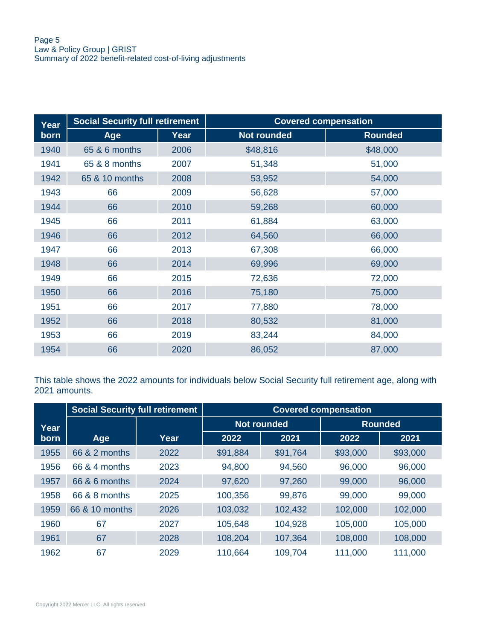| Year | <b>Social Security full retirement</b> |      | <b>Covered compensation</b> |                |  |
|------|----------------------------------------|------|-----------------------------|----------------|--|
| born | Age                                    | Year | <b>Not rounded</b>          | <b>Rounded</b> |  |
| 1940 | 65 & 6 months                          | 2006 | \$48,816                    | \$48,000       |  |
| 1941 | 65 & 8 months                          | 2007 | 51,348                      | 51,000         |  |
| 1942 | 65 & 10 months                         | 2008 | 53,952                      | 54,000         |  |
| 1943 | 66                                     | 2009 | 56,628                      | 57,000         |  |
| 1944 | 66                                     | 2010 | 59,268                      | 60,000         |  |
| 1945 | 66                                     | 2011 | 61,884                      | 63,000         |  |
| 1946 | 66                                     | 2012 | 64,560                      | 66,000         |  |
| 1947 | 66                                     | 2013 | 67,308                      | 66,000         |  |
| 1948 | 66                                     | 2014 | 69,996                      | 69,000         |  |
| 1949 | 66                                     | 2015 | 72,636                      | 72,000         |  |
| 1950 | 66                                     | 2016 | 75,180                      | 75,000         |  |
| 1951 | 66                                     | 2017 | 77,880                      | 78,000         |  |
| 1952 | 66                                     | 2018 | 80,532                      | 81,000         |  |
| 1953 | 66                                     | 2019 | 83,244                      | 84,000         |  |
| 1954 | 66                                     | 2020 | 86,052                      | 87,000         |  |

This table shows the 2022 amounts for individuals below Social Security full retirement age, along with 2021 amounts.

|      | <b>Social Security full retirement</b> |      | <b>Covered compensation</b> |                    |          |                |  |  |
|------|----------------------------------------|------|-----------------------------|--------------------|----------|----------------|--|--|
| Year |                                        |      |                             | <b>Not rounded</b> |          | <b>Rounded</b> |  |  |
| born | Age                                    | Year | 2022                        | 2021               | 2022     | 2021           |  |  |
| 1955 | 66 & 2 months                          | 2022 | \$91,884                    | \$91,764           | \$93,000 | \$93,000       |  |  |
| 1956 | 66 & 4 months                          | 2023 | 94,800                      | 94,560             | 96,000   | 96,000         |  |  |
| 1957 | 66 & 6 months                          | 2024 | 97,620                      | 97,260             | 99,000   | 96,000         |  |  |
| 1958 | 66 & 8 months                          | 2025 | 100,356                     | 99,876             | 99,000   | 99,000         |  |  |
| 1959 | 66 & 10 months                         | 2026 | 103,032                     | 102,432            | 102,000  | 102,000        |  |  |
| 1960 | 67                                     | 2027 | 105,648                     | 104,928            | 105,000  | 105,000        |  |  |
| 1961 | 67                                     | 2028 | 108,204                     | 107,364            | 108,000  | 108,000        |  |  |
| 1962 | 67                                     | 2029 | 110,664                     | 109,704            | 111,000  | 111,000        |  |  |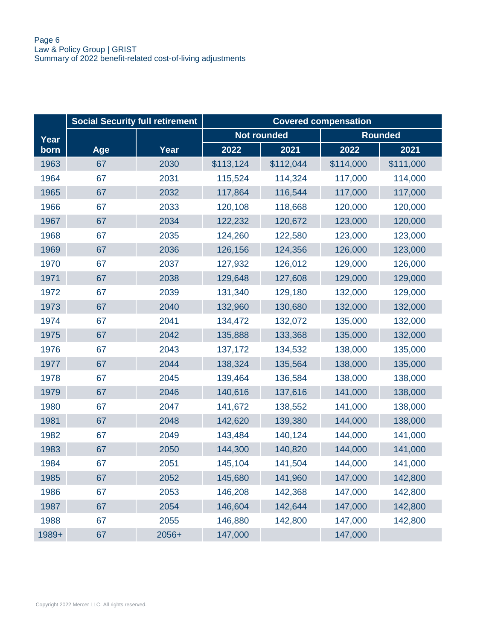|       | <b>Social Security full retirement</b> |       | <b>Covered compensation</b> |                    |           |                |  |
|-------|----------------------------------------|-------|-----------------------------|--------------------|-----------|----------------|--|
| Year  |                                        |       |                             | <b>Not rounded</b> |           | <b>Rounded</b> |  |
| born  | Age                                    | Year  | 2022                        | 2021               | 2022      | 2021           |  |
| 1963  | 67                                     | 2030  | \$113,124                   | \$112,044          | \$114,000 | \$111,000      |  |
| 1964  | 67                                     | 2031  | 115,524                     | 114,324            | 117,000   | 114,000        |  |
| 1965  | 67                                     | 2032  | 117,864                     | 116,544            | 117,000   | 117,000        |  |
| 1966  | 67                                     | 2033  | 120,108                     | 118,668            | 120,000   | 120,000        |  |
| 1967  | 67                                     | 2034  | 122,232                     | 120,672            | 123,000   | 120,000        |  |
| 1968  | 67                                     | 2035  | 124,260                     | 122,580            | 123,000   | 123,000        |  |
| 1969  | 67                                     | 2036  | 126,156                     | 124,356            | 126,000   | 123,000        |  |
| 1970  | 67                                     | 2037  | 127,932                     | 126,012            | 129,000   | 126,000        |  |
| 1971  | 67                                     | 2038  | 129,648                     | 127,608            | 129,000   | 129,000        |  |
| 1972  | 67                                     | 2039  | 131,340                     | 129,180            | 132,000   | 129,000        |  |
| 1973  | 67                                     | 2040  | 132,960                     | 130,680            | 132,000   | 132,000        |  |
| 1974  | 67                                     | 2041  | 134,472                     | 132,072            | 135,000   | 132,000        |  |
| 1975  | 67                                     | 2042  | 135,888                     | 133,368            | 135,000   | 132,000        |  |
| 1976  | 67                                     | 2043  | 137,172                     | 134,532            | 138,000   | 135,000        |  |
| 1977  | 67                                     | 2044  | 138,324                     | 135,564            | 138,000   | 135,000        |  |
| 1978  | 67                                     | 2045  | 139,464                     | 136,584            | 138,000   | 138,000        |  |
| 1979  | 67                                     | 2046  | 140,616                     | 137,616            | 141,000   | 138,000        |  |
| 1980  | 67                                     | 2047  | 141,672                     | 138,552            | 141,000   | 138,000        |  |
| 1981  | 67                                     | 2048  | 142,620                     | 139,380            | 144,000   | 138,000        |  |
| 1982  | 67                                     | 2049  | 143,484                     | 140,124            | 144,000   | 141,000        |  |
| 1983  | 67                                     | 2050  | 144,300                     | 140,820            | 144,000   | 141,000        |  |
| 1984  | 67                                     | 2051  | 145,104                     | 141,504            | 144,000   | 141,000        |  |
| 1985  | 67                                     | 2052  | 145,680                     | 141,960            | 147,000   | 142,800        |  |
| 1986  | 67                                     | 2053  | 146,208                     | 142,368            | 147,000   | 142,800        |  |
| 1987  | 67                                     | 2054  | 146,604                     | 142,644            | 147,000   | 142,800        |  |
| 1988  | 67                                     | 2055  | 146,880                     | 142,800            | 147,000   | 142,800        |  |
| 1989+ | 67                                     | 2056+ | 147,000                     |                    | 147,000   |                |  |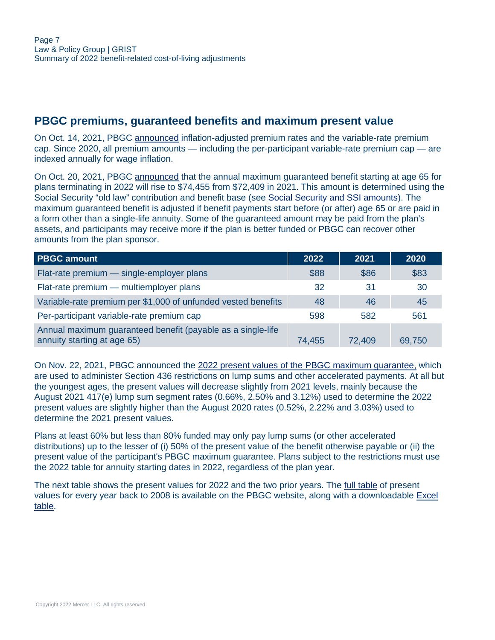#### <span id="page-6-0"></span>**PBGC premiums, guaranteed benefits and maximum present value**

On Oct. 14, 2021, PBGC [announced](https://www.pbgc.gov/prac/prem/premium-rates) inflation-adjusted premium rates and the variable-rate premium cap. Since 2020, all premium amounts — including the per-participant variable-rate premium cap — are indexed annually for wage inflation.

On Oct. 20, 2021, PBGC [announced](http://www.pbgc.gov/wr/benefits/guaranteed-benefits/maximum-guarantee#2022) that the annual maximum guaranteed benefit starting at age 65 for plans terminating in 2022 will rise to \$74,455 from \$72,409 in 2021. This amount is determined using the Social Security "old law" contribution and benefit base (see [Social Security and SSI amounts](#page-18-0)). The maximum guaranteed benefit is adjusted if benefit payments start before (or after) age 65 or are paid in a form other than a single-life annuity. Some of the guaranteed amount may be paid from the plan's assets, and participants may receive more if the plan is better funded or PBGC can recover other amounts from the plan sponsor.

| <b>PBGC amount</b>                                                                         | 2022   | 2021   | 2020   |
|--------------------------------------------------------------------------------------------|--------|--------|--------|
| Flat-rate premium - single-employer plans                                                  | \$88   | \$86   | \$83   |
| Flat-rate premium - multiemployer plans                                                    | 32     | 31     | 30     |
| Variable-rate premium per \$1,000 of unfunded vested benefits                              | 48     | 46     | 45     |
| Per-participant variable-rate premium cap                                                  | 598    | 582    | 561    |
| Annual maximum guaranteed benefit (payable as a single-life<br>annuity starting at age 65) | 74,455 | 72,409 | 69,750 |

On Nov. 22, 2021, PBGC announced the [2022 present values of the PBGC maximum guarantee,](https://www.pbgc.gov/prac/mortality-retirement-and-pv-max-guarantee/present-guarantee) which are used to administer Section 436 restrictions on lump sums and other accelerated payments. At all but the youngest ages, the present values will decrease slightly from 2021 levels, mainly because the August 2021 417(e) lump sum segment rates (0.66%, 2.50% and 3.12%) used to determine the 2022 present values are slightly higher than the August 2020 rates (0.52%, 2.22% and 3.03%) used to determine the 2021 present values.

Plans at least 60% but less than 80% funded may only pay lump sums (or other accelerated distributions) up to the lesser of (i) 50% of the present value of the benefit otherwise payable or (ii) the present value of the participant's PBGC maximum guarantee. Plans subject to the restrictions must use the 2022 table for annuity starting dates in 2022, regardless of the plan year.

The next table shows the present values for 2022 and the two prior years. The [full table](https://www.pbgc.gov/prac/mortality-retirement-and-pv-max-guarantee/present-guarantee) of present values for every year back to 2008 is available on the PBGC website, along with a downloadable [Excel](https://www.pbgc.gov/sites/default/files/2022-pv-max-two-column-format.xlsx) [table.](https://www.pbgc.gov/sites/default/files/2022-pv-max-two-column-format.xlsx)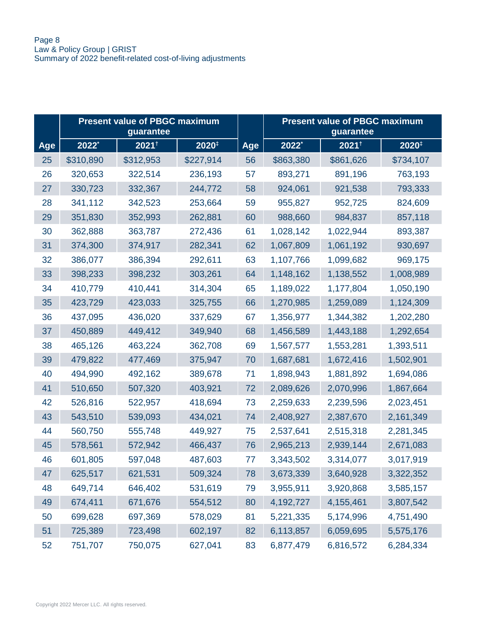|     | <b>Present value of PBGC maximum</b><br>guarantee |                   |           |     |             | <b>Present value of PBGC maximum</b><br>guarantee |           |
|-----|---------------------------------------------------|-------------------|-----------|-----|-------------|---------------------------------------------------|-----------|
| Age | 2022*                                             | 2021 <sup>t</sup> | 2020#     | Age | 2022*       | 2021 <sup>t</sup>                                 | 2020#     |
| 25  | \$310,890                                         | \$312,953         | \$227,914 | 56  | \$863,380   | \$861,626                                         | \$734,107 |
| 26  | 320,653                                           | 322,514           | 236,193   | 57  | 893,271     | 891,196                                           | 763,193   |
| 27  | 330,723                                           | 332,367           | 244,772   | 58  | 924,061     | 921,538                                           | 793,333   |
| 28  | 341,112                                           | 342,523           | 253,664   | 59  | 955,827     | 952,725                                           | 824,609   |
| 29  | 351,830                                           | 352,993           | 262,881   | 60  | 988,660     | 984,837                                           | 857,118   |
| 30  | 362,888                                           | 363,787           | 272,436   | 61  | 1,028,142   | 1,022,944                                         | 893,387   |
| 31  | 374,300                                           | 374,917           | 282,341   | 62  | 1,067,809   | 1,061,192                                         | 930,697   |
| 32  | 386,077                                           | 386,394           | 292,611   | 63  | 1,107,766   | 1,099,682                                         | 969,175   |
| 33  | 398,233                                           | 398,232           | 303,261   | 64  | 1,148,162   | 1,138,552                                         | 1,008,989 |
| 34  | 410,779                                           | 410,441           | 314,304   | 65  | 1,189,022   | 1,177,804                                         | 1,050,190 |
| 35  | 423,729                                           | 423,033           | 325,755   | 66  | 1,270,985   | 1,259,089                                         | 1,124,309 |
| 36  | 437,095                                           | 436,020           | 337,629   | 67  | 1,356,977   | 1,344,382                                         | 1,202,280 |
| 37  | 450,889                                           | 449,412           | 349,940   | 68  | 1,456,589   | 1,443,188                                         | 1,292,654 |
| 38  | 465,126                                           | 463,224           | 362,708   | 69  | 1,567,577   | 1,553,281                                         | 1,393,511 |
| 39  | 479,822                                           | 477,469           | 375,947   | 70  | 1,687,681   | 1,672,416                                         | 1,502,901 |
| 40  | 494,990                                           | 492,162           | 389,678   | 71  | 1,898,943   | 1,881,892                                         | 1,694,086 |
| 41  | 510,650                                           | 507,320           | 403,921   | 72  | 2,089,626   | 2,070,996                                         | 1,867,664 |
| 42  | 526,816                                           | 522,957           | 418,694   | 73  | 2,259,633   | 2,239,596                                         | 2,023,451 |
| 43  | 543,510                                           | 539,093           | 434,021   | 74  | 2,408,927   | 2,387,670                                         | 2,161,349 |
| 44  | 560,750                                           | 555,748           | 449,927   | 75  | 2,537,641   | 2,515,318                                         | 2,281,345 |
| 45  | 578,561                                           | 572,942           | 466,437   | 76  | 2,965,213   | 2,939,144                                         | 2,671,083 |
| 46  | 601,805                                           | 597,048           | 487,603   | 77  | 3,343,502   | 3,314,077                                         | 3,017,919 |
| 47  | 625,517                                           | 621,531           | 509,324   | 78  | 3,673,339   | 3,640,928                                         | 3,322,352 |
| 48  | 649,714                                           | 646,402           | 531,619   | 79  | 3,955,911   | 3,920,868                                         | 3,585,157 |
| 49  | 674,411                                           | 671,676           | 554,512   | 80  | 4, 192, 727 | 4,155,461                                         | 3,807,542 |
| 50  | 699,628                                           | 697,369           | 578,029   | 81  | 5,221,335   | 5,174,996                                         | 4,751,490 |
| 51  | 725,389                                           | 723,498           | 602,197   | 82  | 6,113,857   | 6,059,695                                         | 5,575,176 |
| 52  | 751,707                                           | 750,075           | 627,041   | 83  | 6,877,479   | 6,816,572                                         | 6,284,334 |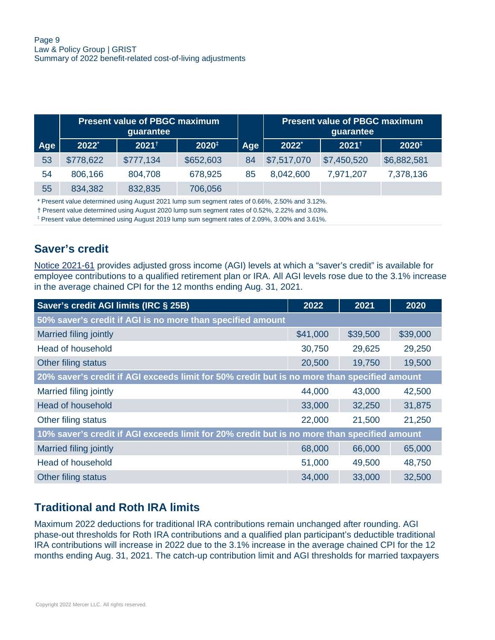|     | <b>Present value of PBGC maximum</b><br>guarantee |           |           |     |             | <b>Present value of PBGC maximum</b> |                   |
|-----|---------------------------------------------------|-----------|-----------|-----|-------------|--------------------------------------|-------------------|
| Age | $2022^*$                                          | $2021^+$  | 2020#     | Age | 2022*       | $2021^+$                             | $2020^{\ddagger}$ |
| 53  | \$778,622                                         | \$777,134 | \$652,603 | 84  | \$7,517,070 | \$7,450,520                          | \$6,882,581       |
| 54  | 806,166                                           | 804,708   | 678,925   | 85  | 8,042,600   | 7,971,207                            | 7,378,136         |
| 55  | 834,382                                           | 832,835   | 706,056   |     |             |                                      |                   |

\* Present value determined using August 2021 lump sum segment rates of 0.66%, 2.50% and 3.12%.

† Present value determined using August 2020 lump sum segment rates of 0.52%, 2.22% and 3.03%.

‡ Present value determined using August 2019 lump sum segment rates of 2.09%, 3.00% and 3.61%.

#### <span id="page-8-0"></span>**Saver's credit**

[Notice 2021-61](https://www.irs.gov/pub/irs-drop/n-21-61.pdf) provides adjusted gross income (AGI) levels at which a "saver's credit" is available for employee contributions to a qualified retirement plan or IRA. All AGI levels rose due to the 3.1% increase in the average chained CPI for the 12 months ending Aug. 31, 2021.

| Saver's credit AGI limits (IRC § 25B)                                                       | 2022     | 2021     | 2020     |  |  |  |  |
|---------------------------------------------------------------------------------------------|----------|----------|----------|--|--|--|--|
| 50% saver's credit if AGI is no more than specified amount                                  |          |          |          |  |  |  |  |
| Married filing jointly                                                                      | \$41,000 | \$39,500 | \$39,000 |  |  |  |  |
| Head of household                                                                           | 30,750   | 29,625   | 29,250   |  |  |  |  |
| Other filing status                                                                         | 20,500   | 19,750   | 19,500   |  |  |  |  |
| 20% saver's credit if AGI exceeds limit for 50% credit but is no more than specified amount |          |          |          |  |  |  |  |
| Married filing jointly                                                                      | 44,000   | 43,000   | 42,500   |  |  |  |  |
| <b>Head of household</b>                                                                    | 33,000   | 32,250   | 31,875   |  |  |  |  |
| Other filing status                                                                         | 22,000   | 21,500   | 21,250   |  |  |  |  |
| 10% saver's credit if AGI exceeds limit for 20% credit but is no more than specified amount |          |          |          |  |  |  |  |
| <b>Married filing jointly</b>                                                               | 68,000   | 66,000   | 65,000   |  |  |  |  |
| Head of household                                                                           | 51,000   | 49,500   | 48,750   |  |  |  |  |
| Other filing status                                                                         | 34,000   | 33,000   | 32,500   |  |  |  |  |

#### <span id="page-8-1"></span>**Traditional and Roth IRA limits**

Maximum 2022 deductions for traditional IRA contributions remain unchanged after rounding. AGI phase-out thresholds for Roth IRA contributions and a qualified plan participant's deductible traditional IRA contributions will increase in 2022 due to the 3.1% increase in the average chained CPI for the 12 months ending Aug. 31, 2021. The catch-up contribution limit and AGI thresholds for married taxpayers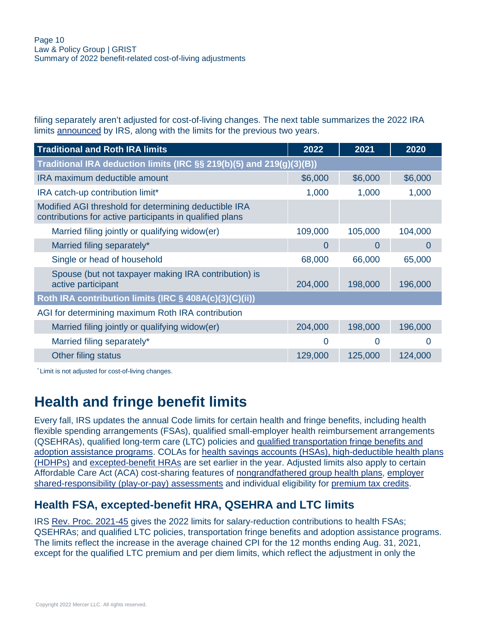filing separately aren't adjusted for cost-of-living changes. The next table summarizes the 2022 IRA limits [announced](https://www.irs.gov/pub/irs-drop/n-21-61.pdf) by IRS, along with the limits for the previous two years.

| <b>Traditional and Roth IRA limits</b>                                                                            | 2022    | 2021    | 2020    |  |  |  |
|-------------------------------------------------------------------------------------------------------------------|---------|---------|---------|--|--|--|
| Traditional IRA deduction limits (IRC $\S$ § 219(b)(5) and 219(g)(3)(B))                                          |         |         |         |  |  |  |
| IRA maximum deductible amount                                                                                     | \$6,000 | \$6,000 | \$6,000 |  |  |  |
| IRA catch-up contribution limit*                                                                                  | 1,000   | 1,000   | 1,000   |  |  |  |
| Modified AGI threshold for determining deductible IRA<br>contributions for active participants in qualified plans |         |         |         |  |  |  |
| Married filing jointly or qualifying widow(er)                                                                    | 109,000 | 105,000 | 104,000 |  |  |  |
| Married filing separately*                                                                                        | 0       | 0       | O       |  |  |  |
| Single or head of household                                                                                       | 68,000  | 66,000  | 65,000  |  |  |  |
| Spouse (but not taxpayer making IRA contribution) is<br>active participant                                        | 204,000 | 198,000 | 196,000 |  |  |  |
| Roth IRA contribution limits (IRC § 408A(c)(3)(C)(ii))                                                            |         |         |         |  |  |  |
| AGI for determining maximum Roth IRA contribution                                                                 |         |         |         |  |  |  |
| Married filing jointly or qualifying widow(er)                                                                    | 204,000 | 198,000 | 196,000 |  |  |  |
| Married filing separately*                                                                                        | 0       | 0       | O       |  |  |  |
| Other filing status                                                                                               | 129,000 | 125,000 | 124,000 |  |  |  |

\* Limit is not adjusted for cost-of-living changes.

# <span id="page-9-0"></span>**Health and fringe benefit limits**

Every fall, IRS updates the annual Code limits for certain health and fringe benefits, including health flexible spending arrangements (FSAs), qualified small-employer health reimbursement arrangements (QSEHRAs), qualified long-term care (LTC) policies and [qualified transportation fringe benefits and](#page-10-0) [adoption assistance programs.](#page-10-0) COLAs for [health savings accounts \(HSAs\), high-deductible health plans](#page-11-0) [\(HDHPs\)](#page-11-0) and [excepted-benefit HRAs](#page-9-1) are set earlier in the year. Adjusted limits also apply to certain Affordable Care Act (ACA) cost-sharing features of [nongrandfathered group health plans](#page-11-1), [employer](#page-12-0) [shared-responsibility \(play-or-pay\) assessments](#page-12-0) and individual eligibility for [premium tax credits](#page-13-0).

#### <span id="page-9-1"></span>**Health FSA, excepted-benefit HRA, QSEHRA and LTC limits**

IRS [Rev. Proc. 2021-45](https://www.irs.gov/pub/irs-drop/rp-21-45.pdf) gives the 2022 limits for salary-reduction contributions to health FSAs; QSEHRAs; and qualified LTC policies, transportation fringe benefits and adoption assistance programs. The limits reflect the increase in the average chained CPI for the 12 months ending Aug. 31, 2021, except for the qualified LTC premium and per diem limits, which reflect the adjustment in only the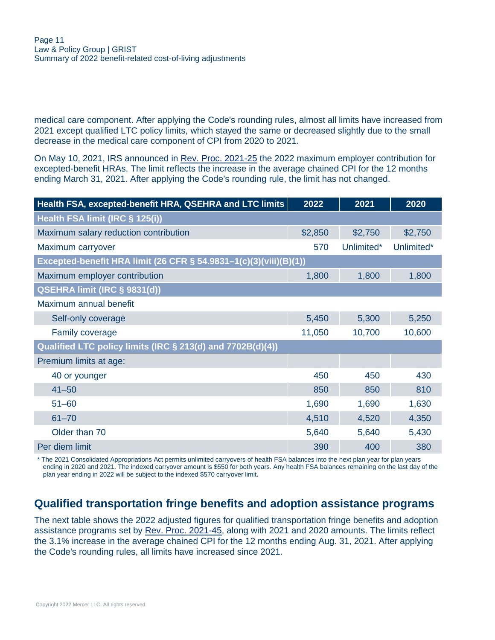medical care component. After applying the Code's rounding rules, almost all limits have increased from 2021 except qualified LTC policy limits, which stayed the same or decreased slightly due to the small decrease in the medical care component of CPI from 2020 to 2021.

On May 10, 2021, IRS announced in [Rev. Proc. 2021-25](https://www.irs.gov/pub/irs-drop/rp-21-25.pdf) the 2022 maximum employer contribution for excepted-benefit HRAs. The limit reflects the increase in the average chained CPI for the 12 months ending March 31, 2021. After applying the Code's rounding rule, the limit has not changed.

| Health FSA, excepted-benefit HRA, QSEHRA and LTC limits           | 2022    | 2021       | 2020       |
|-------------------------------------------------------------------|---------|------------|------------|
| Health FSA limit (IRC § 125(i))                                   |         |            |            |
| Maximum salary reduction contribution                             | \$2,850 | \$2,750    | \$2,750    |
| Maximum carryover                                                 | 570     | Unlimited* | Unlimited* |
| Excepted-benefit HRA limit (26 CFR § 54.9831-1(c)(3)(viii)(B)(1)) |         |            |            |
| Maximum employer contribution                                     | 1,800   | 1,800      | 1,800      |
| QSEHRA limit (IRC § 9831(d))                                      |         |            |            |
| Maximum annual benefit                                            |         |            |            |
| Self-only coverage                                                | 5,450   | 5,300      | 5,250      |
| <b>Family coverage</b>                                            | 11,050  | 10,700     | 10,600     |
| Qualified LTC policy limits (IRC § 213(d) and 7702B(d)(4))        |         |            |            |
| Premium limits at age:                                            |         |            |            |
| 40 or younger                                                     | 450     | 450        | 430        |
| $41 - 50$                                                         | 850     | 850        | 810        |
| $51 - 60$                                                         | 1,690   | 1,690      | 1,630      |
| $61 - 70$                                                         | 4,510   | 4,520      | 4,350      |
| Older than 70                                                     | 5,640   | 5,640      | 5,430      |
| Per diem limit                                                    | 390     | 400        | 380        |

\* The 2021 Consolidated Appropriations Act permits unlimited carryovers of health FSA balances into the next plan year for plan years ending in 2020 and 2021. The indexed carryover amount is \$550 for both years. Any health FSA balances remaining on the last day of the plan year ending in 2022 will be subject to the indexed \$570 carryover limit.

## <span id="page-10-0"></span>**Qualified transportation fringe benefits and adoption assistance programs**

The next table shows the 2022 adjusted figures for qualified transportation fringe benefits and adoption assistance programs set by [Rev. Proc. 2021-45](https://www.irs.gov/pub/irs-drop/rp-21-45.pdf), along with 2021 and 2020 amounts. The limits reflect the 3.1% increase in the average chained CPI for the 12 months ending Aug. 31, 2021. After applying the Code's rounding rules, all limits have increased since 2021.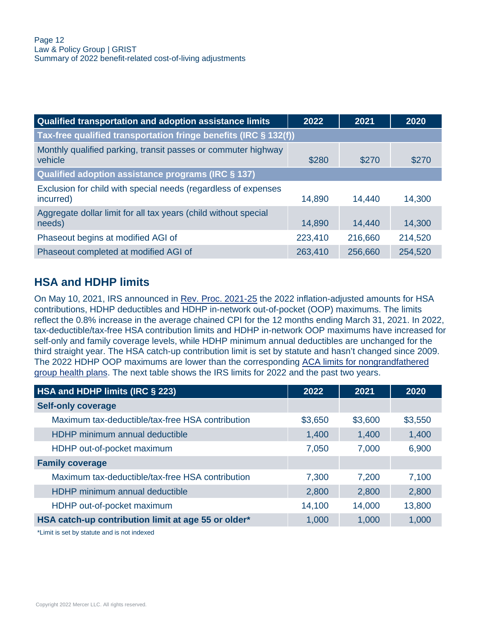| Qualified transportation and adoption assistance limits                     | 2022    | 2021    | 2020    |
|-----------------------------------------------------------------------------|---------|---------|---------|
| Tax-free qualified transportation fringe benefits (IRC § 132(f))            |         |         |         |
| Monthly qualified parking, transit passes or commuter highway<br>vehicle    | \$280   | \$270   | \$270   |
| Qualified adoption assistance programs (IRC § 137)                          |         |         |         |
| Exclusion for child with special needs (regardless of expenses<br>incurred) | 14,890  | 14,440  | 14,300  |
| Aggregate dollar limit for all tax years (child without special<br>needs)   | 14,890  | 14,440  | 14,300  |
| Phaseout begins at modified AGI of                                          | 223,410 | 216,660 | 214,520 |
| Phaseout completed at modified AGI of                                       | 263,410 | 256,660 | 254,520 |

## <span id="page-11-0"></span>**HSA and HDHP limits**

On May 10, 2021, IRS announced in [Rev. Proc. 2021-25](https://www.irs.gov/pub/irs-drop/rp-21-25.pdf) the 2022 inflation-adjusted amounts for HSA contributions, HDHP deductibles and HDHP in-network out-of-pocket (OOP) maximums. The limits reflect the 0.8% increase in the average chained CPI for the 12 months ending March 31, 2021. In 2022, tax-deductible/tax-free HSA contribution limits and HDHP in-network OOP maximums have increased for self-only and family coverage levels, while HDHP minimum annual deductibles are unchanged for the third straight year. The HSA catch-up contribution limit is set by statute and hasn't changed since 2009. The 2022 HDHP OOP maximums are lower than the corresponding [ACA limits for nongrandfathered](#page-12-1) [group health plans](#page-12-1). The next table shows the IRS limits for 2022 and the past two years.

| 2022    | 2021    | 2020    |
|---------|---------|---------|
|         |         |         |
| \$3,650 | \$3,600 | \$3,550 |
| 1,400   | 1,400   | 1,400   |
| 7,050   | 7,000   | 6,900   |
|         |         |         |
| 7,300   | 7,200   | 7,100   |
| 2,800   | 2,800   | 2,800   |
| 14,100  | 14,000  | 13,800  |
| 1,000   | 1,000   | 1,000   |
|         |         |         |

<span id="page-11-1"></span>\*Limit is set by statute and is not indexed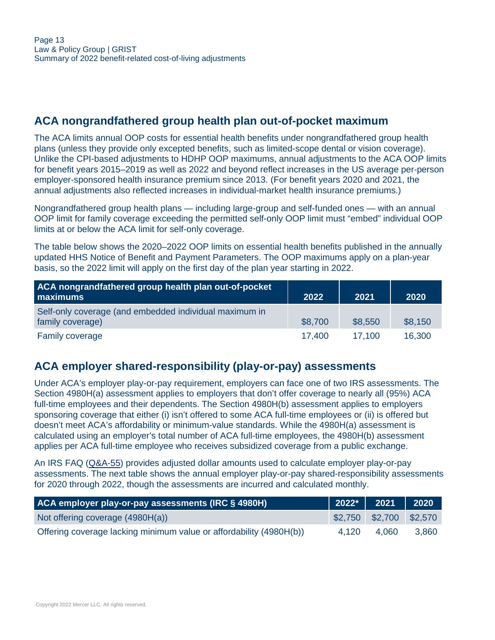## <span id="page-12-1"></span>**ACA nongrandfathered group health plan out-of-pocket maximum**

The ACA limits annual OOP costs for essential health benefits under nongrandfathered group health plans (unless they provide only excepted benefits, such as limited-scope dental or vision coverage). Unlike the CPI-based adjustments to HDHP OOP maximums, annual adjustments to the ACA OOP limits for benefit years 2015–2019 as well as 2022 and beyond reflect increases in the US average per-person employer-sponsored health insurance premium since 2013. (For benefit years 2020 and 2021, the annual adjustments also reflected increases in individual-market health insurance premiums.)

Nongrandfathered group health plans — including large-group and self-funded ones — with an annual OOP limit for family coverage exceeding the permitted self-only OOP limit must "embed" individual OOP limits at or below the ACA limit for self-only coverage.

The table below shows the 2020–2022 OOP limits on essential health benefits published in the annually updated HHS Notice of Benefit and Payment Parameters. The OOP maximums apply on a plan-year basis, so the 2022 limit will apply on the first day of the plan year starting in 2022.

| ACA nongrandfathered group health plan out-of-pocket<br>maximums           | 2022    | 2021    | 2020    |
|----------------------------------------------------------------------------|---------|---------|---------|
| Self-only coverage (and embedded individual maximum in<br>family coverage) | \$8,700 | \$8,550 | \$8,150 |
| <b>Family coverage</b>                                                     | 17.400  | 17.100  | 16,300  |

#### <span id="page-12-0"></span>**ACA employer shared-responsibility (play-or-pay) assessments**

Under ACA's employer play-or-pay requirement, employers can face one of two IRS assessments. The Section 4980H(a) assessment applies to employers that don't offer coverage to nearly all (95%) ACA full-time employees and their dependents. The Section 4980H(b) assessment applies to employers sponsoring coverage that either (i) isn't offered to some ACA full-time employees or (ii) is offered but doesn't meet ACA's affordability or minimum-value standards. While the 4980H(a) assessment is calculated using an employer's total number of ACA full-time employees, the 4980H(b) assessment applies per ACA full-time employee who receives subsidized coverage from a public exchange.

An IRS FAQ ([Q&A-55\)](https://www.irs.gov/affordable-care-act/employers/questions-and-answers-on-employer-shared-responsibility-provisions-under-the-affordable-care-act#Calculation) provides adjusted dollar amounts used to calculate employer play-or-pay assessments. The next table shows the annual employer play-or-pay shared-responsibility assessments for 2020 through 2022, though the assessments are incurred and calculated monthly.

| <b>ACA employer play-or-pay assessments (IRC § 4980H)</b>           |       | $\vert$ 2022* $\vert$ 2021 $\vert$ 2020 |       |
|---------------------------------------------------------------------|-------|-----------------------------------------|-------|
| Not offering coverage (4980H(a))                                    |       | $$2,750$ $$2,700$ $$2,570$              |       |
| Offering coverage lacking minimum value or affordability (4980H(b)) | 4.120 | 4.060                                   | 3.860 |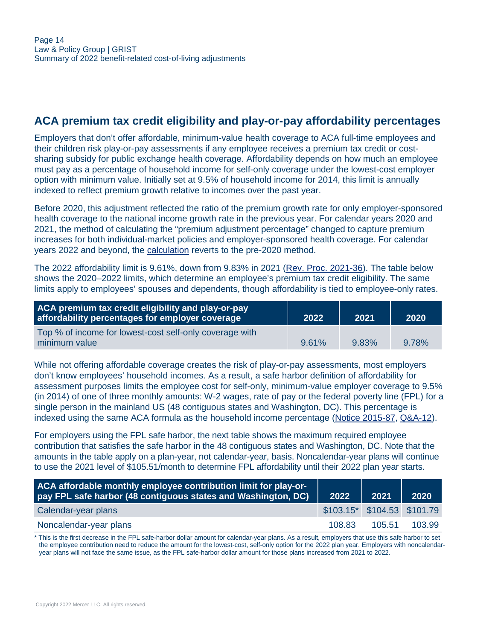#### <span id="page-13-0"></span>**ACA premium tax credit eligibility and play-or-pay affordability percentages**

Employers that don't offer affordable, minimum-value health coverage to ACA full-time employees and their children risk play-or-pay assessments if any employee receives a premium tax credit or costsharing subsidy for public exchange health coverage. Affordability depends on how much an employee must pay as a percentage of household income for self-only coverage under the lowest-cost employer option with minimum value. Initially set at 9.5% of household income for 2014, this limit is annually indexed to reflect premium growth relative to incomes over the past year.

Before 2020, this adjustment reflected the ratio of the premium growth rate for only employer-sponsored health coverage to the national income growth rate in the previous year. For calendar years 2020 and 2021, the method of calculating the "premium adjustment percentage" changed to capture premium increases for both individual-market policies and employer-sponsored health coverage. For calendar years 2022 and beyond, the [calculation](https://www.federalregister.gov/documents/2021/05/05/2021-09102/patient-protection-and-affordable-care-act-hhs-notice-of-benefit-and-payment-parameters-for-2022-and) reverts to the pre-2020 method.

The 2022 affordability limit is 9.61%, down from 9.83% in 2021 ([Rev. Proc. 2021-36\)](https://www.irs.gov/irb/2021-35_IRB#REV-PROC-2021-36). The table below shows the 2020–2022 limits, which determine an employee's premium tax credit eligibility. The same limits apply to employees' spouses and dependents, though affordability is tied to employee-only rates.

| ACA premium tax credit eligibility and play-or-pay<br>affordability percentages for employer coverage | 2022  | 2021  | 2020  |
|-------------------------------------------------------------------------------------------------------|-------|-------|-------|
| Top % of income for lowest-cost self-only coverage with<br>minimum value                              | 9.61% | 9.83% | 9.78% |

While not offering affordable coverage creates the risk of play-or-pay assessments, most employers don't know employees' household incomes. As a result, a safe harbor definition of affordability for assessment purposes limits the employee cost for self-only, minimum-value employer coverage to 9.5% (in 2014) of one of three monthly amounts: W-2 wages, rate of pay or the federal poverty line (FPL) for a single person in the mainland US (48 contiguous states and Washington, DC). This percentage is indexed using the same ACA formula as the household income percentage ([Notice 2015-87](https://www.irs.gov/pub/irs-drop/n-15-87.pdf), [Q&A-12](https://www.irs.gov/pub/irs-drop/n-15-87.pdf#page=18)).

For employers using the FPL safe harbor, the next table shows the maximum required employee contribution that satisfies the safe harbor in the 48 contiguous states and Washington, DC. Note that the amounts in the table apply on a plan-year, not calendar-year, basis. Noncalendar-year plans will continue to use the 2021 level of \$105.51/month to determine FPL affordability until their 2022 plan year starts.

| ACA affordable monthly employee contribution limit for play-or-<br>pay FPL safe harbor (48 contiguous states and Washington, DC) | 2022                            | 2021   | 2020   |
|----------------------------------------------------------------------------------------------------------------------------------|---------------------------------|--------|--------|
| Calendar-year plans                                                                                                              | $$103.15^*$ $$104.53$ $$101.79$ |        |        |
| Noncalendar-year plans                                                                                                           | 108.83                          | 105.51 | 103.99 |

\* This is the first decrease in the FPL safe-harbor dollar amount for calendar-year plans. As a result, employers that use this safe harbor to set the employee contribution need to reduce the amount for the lowest-cost, self-only option for the 2022 plan year. Employers with noncalendaryear plans will not face the same issue, as the FPL safe-harbor dollar amount for those plans increased from 2021 to 2022.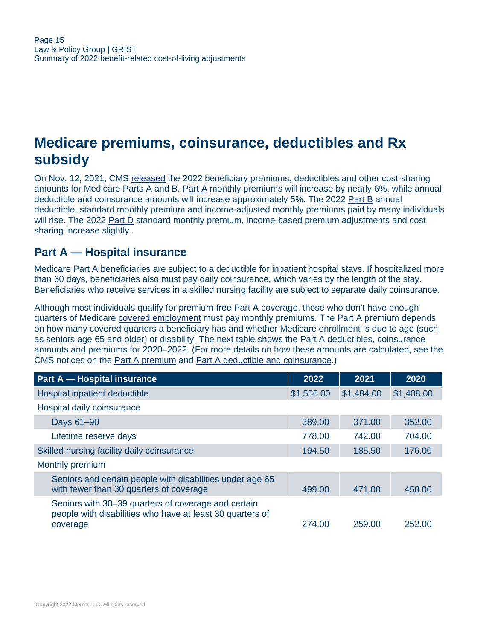# <span id="page-14-0"></span>**Medicare premiums, coinsurance, deductibles and Rx subsidy**

On Nov. 12, 2021, CMS [released](https://www.cms.gov/newsroom/fact-sheets/2022-medicare-parts-b-premiums-and-deductibles2022-medicare-part-d-income-related-monthly-adjustment) the 2022 beneficiary premiums, deductibles and other cost-sharing amounts for Medicare Parts A and B. [Part A](#page-14-1) monthly premiums will increase by nearly 6%, while annual deductible and coinsurance amounts will increase approximately 5%. The 2022 [Part B](#page-15-0) annual deductible, standard monthly premium and income-adjusted monthly premiums paid by many individuals will rise. The 2022 [Part D](#page-16-0) standard monthly premium, income-based premium adjustments and cost sharing increase slightly.

#### <span id="page-14-1"></span>**Part A — Hospital insurance**

Medicare Part A beneficiaries are subject to a deductible for inpatient hospital stays. If hospitalized more than 60 days, beneficiaries also must pay daily coinsurance, which varies by the length of the stay. Beneficiaries who receive services in a skilled nursing facility are subject to separate daily coinsurance.

Although most individuals qualify for premium-free Part A coverage, those who don't have enough quarters of Medicare [covered employment](http://www.ssa.gov/retire2/credits1.htm) must pay monthly premiums. The Part A premium depends on how many covered quarters a beneficiary has and whether Medicare enrollment is due to age (such as seniors age 65 and older) or disability. The next table shows the Part A deductibles, coinsurance amounts and premiums for 2020–2022. (For more details on how these amounts are calculated, see the CMS notices on the [Part A premium](https://www.federalregister.gov/documents/2021/11/17/2021-25052/medicare-program-cy-2022-part-a-premiums-for-the-uninsured-aged-and-for-certain-disabled-individuals) and [Part A deductible and coinsurance.](https://www.federalregister.gov/documents/2021/11/17/2021-25051/medicare-program-cy-2022-inpatient-hospital-deductible-and-hospital-and-extended-care-services))

| <b>Part A - Hospital insurance</b>                                                                                           | 2022       | 2021       | 2020       |
|------------------------------------------------------------------------------------------------------------------------------|------------|------------|------------|
| Hospital inpatient deductible                                                                                                | \$1,556.00 | \$1,484.00 | \$1,408.00 |
| Hospital daily coinsurance                                                                                                   |            |            |            |
| Days 61-90                                                                                                                   | 389.00     | 371.00     | 352.00     |
| Lifetime reserve days                                                                                                        | 778.00     | 742.00     | 704.00     |
| Skilled nursing facility daily coinsurance                                                                                   | 194.50     | 185.50     | 176.00     |
| Monthly premium                                                                                                              |            |            |            |
| Seniors and certain people with disabilities under age 65<br>with fewer than 30 quarters of coverage                         | 499.00     | 471.00     | 458.00     |
| Seniors with 30-39 quarters of coverage and certain<br>people with disabilities who have at least 30 quarters of<br>coverage | 274.00     | 259.00     | 252.00     |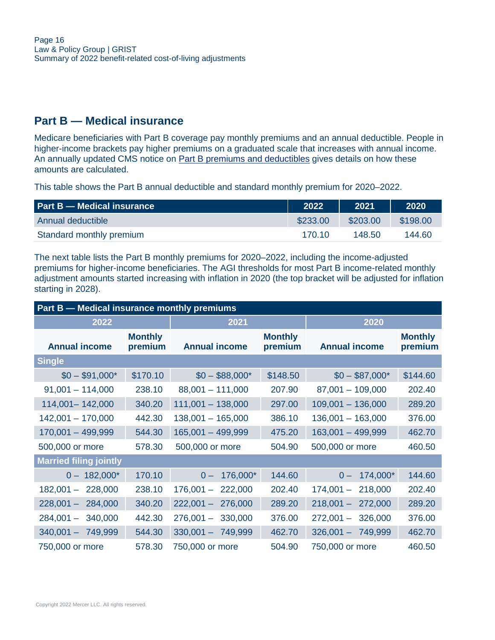## <span id="page-15-0"></span>**Part B — Medical insurance**

Medicare beneficiaries with Part B coverage pay monthly premiums and an annual deductible. People in higher-income brackets pay higher premiums on a graduated scale that increases with annual income. An annually updated CMS notice on [Part B premiums and deductibles](https://www.federalregister.gov/documents/2021/11/17/2021-25050/medicare-program-medicare-part-b-monthly-actuarial-rates-premium-rates-and-annual-deductible) gives details on how these amounts are calculated.

This table shows the Part B annual deductible and standard monthly premium for 2020–2022.

| <b>Part B - Medical insurance</b> | 2022     | 2021     | 2020     |
|-----------------------------------|----------|----------|----------|
| Annual deductible                 | \$233.00 | \$203.00 | \$198,00 |
| Standard monthly premium          | 170.10   | 148.50   | 144.60   |

The next table lists the Part B monthly premiums for 2020–2022, including the income-adjusted premiums for higher-income beneficiaries. The AGI thresholds for most Part B income-related monthly adjustment amounts started increasing with inflation in 2020 (the top bracket will be adjusted for inflation starting in 2028).

| Part B - Medical insurance monthly premiums |                           |                        |                           |                        |                           |
|---------------------------------------------|---------------------------|------------------------|---------------------------|------------------------|---------------------------|
| 2022                                        |                           | 2021                   |                           | 2020                   |                           |
| <b>Annual income</b>                        | <b>Monthly</b><br>premium | <b>Annual income</b>   | <b>Monthly</b><br>premium | <b>Annual income</b>   | <b>Monthly</b><br>premium |
| <b>Single</b>                               |                           |                        |                           |                        |                           |
| $$0 - $91,000^*$                            | \$170.10                  | $$0 - $88,000*$        | \$148.50                  | $$0 - $87,000^*$       | \$144.60                  |
| $91,001 - 114,000$                          | 238.10                    | $88,001 - 111,000$     | 207.90                    | $87,001 - 109,000$     | 202.40                    |
| 114,001 - 142,000                           | 340.20                    | $111,001 - 138,000$    | 297.00                    | $109,001 - 136,000$    | 289.20                    |
| $142,001 - 170,000$                         | 442.30                    | $138,001 - 165,000$    | 386.10                    | $136,001 - 163,000$    | 376.00                    |
| $170,001 - 499,999$                         | 544.30                    | $165,001 - 499,999$    | 475.20                    | $163,001 - 499,999$    | 462.70                    |
| 500,000 or more                             | 578.30                    | 500,000 or more        | 504.90                    | 500,000 or more        | 460.50                    |
| <b>Married filing jointly</b>               |                           |                        |                           |                        |                           |
| $0 - 182,000^*$                             | 170.10                    | 176,000*<br>$0 -$      | 144.60                    | 174,000*<br>$0 -$      | 144.60                    |
| $182,001 -$<br>228,000                      | 238.10                    | $176,001 -$<br>222,000 | 202.40                    | $174,001 -$<br>218,000 | 202.40                    |
| $228,001 -$<br>284,000                      | 340.20                    | $222,001 -$<br>276,000 | 289.20                    | $218,001 -$<br>272,000 | 289.20                    |
| $284,001 -$<br>340,000                      | 442.30                    | $276,001 -$<br>330,000 | 376.00                    | $272,001 -$<br>326,000 | 376.00                    |
| $340,001 - 749,999$                         | 544.30                    | $330,001 - 749,999$    | 462.70                    | $326,001 -$<br>749,999 | 462.70                    |
| 750,000 or more                             | 578.30                    | 750,000 or more        | 504.90                    | 750,000 or more        | 460.50                    |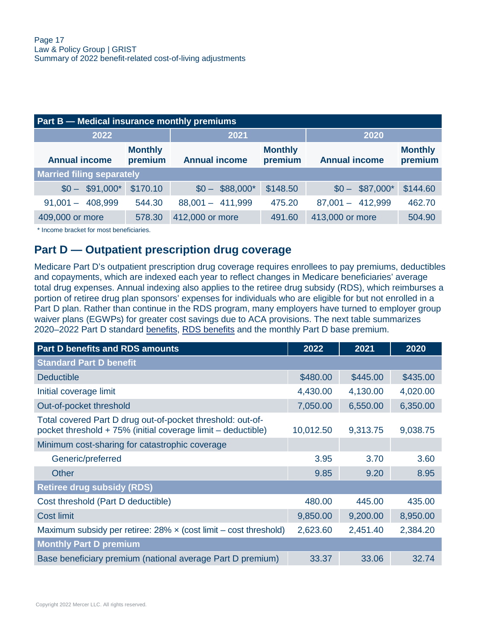| <b>Part B – Medical insurance monthly premiums</b> |                           |                      |                           |                      |                           |
|----------------------------------------------------|---------------------------|----------------------|---------------------------|----------------------|---------------------------|
| 2022                                               |                           | 2021                 |                           | 2020                 |                           |
| <b>Annual income</b>                               | <b>Monthly</b><br>premium | <b>Annual income</b> | <b>Monthly</b><br>premium | <b>Annual income</b> | <b>Monthly</b><br>premium |
| <b>Married filing separately</b>                   |                           |                      |                           |                      |                           |
| $$0 - $91,000^*$                                   | \$170.10                  | $$0 - $88,000^*$     | \$148.50                  | $$0 - $87,000^*$     | \$144.60                  |
| 408,999<br>$91,001 -$                              | 544.30                    | $88,001 - 411,999$   | 475.20                    | $87,001 - 412,999$   | 462.70                    |
| 409,000 or more                                    | 578.30                    | 412,000 or more      | 491.60                    | 413,000 or more      | 504.90                    |

\* Income bracket for most beneficiaries.

#### <span id="page-16-0"></span>**Part D — Outpatient prescription drug coverage**

Medicare Part D's outpatient prescription drug coverage requires enrollees to pay premiums, deductibles and copayments, which are indexed each year to reflect changes in Medicare beneficiaries' average total drug expenses. Annual indexing also applies to the retiree drug subsidy (RDS), which reimburses a portion of retiree drug plan sponsors' expenses for individuals who are eligible for but not enrolled in a Part D plan. Rather than continue in the RDS program, many employers have turned to employer group waiver plans (EGWPs) for greater cost savings due to ACA provisions. The next table summarizes 2020–2022 Part D standard [benefits,](https://www.cms.gov/files/document/2022-announcement.pdf) [RDS benefits](https://www.rds.cms.hhs.gov/?q=regulations-guidance/cost-threshold-and-cost-limit-plan-year) and the monthly Part D base premium.

| <b>Part D benefits and RDS amounts</b>                                                                                     | 2022      | 2021     | 2020     |
|----------------------------------------------------------------------------------------------------------------------------|-----------|----------|----------|
| <b>Standard Part D benefit</b>                                                                                             |           |          |          |
| <b>Deductible</b>                                                                                                          | \$480.00  | \$445.00 | \$435.00 |
| Initial coverage limit                                                                                                     | 4,430.00  | 4,130.00 | 4,020.00 |
| Out-of-pocket threshold                                                                                                    | 7,050.00  | 6,550.00 | 6,350.00 |
| Total covered Part D drug out-of-pocket threshold: out-of-<br>pocket threshold + 75% (initial coverage limit – deductible) | 10,012.50 | 9,313.75 | 9,038.75 |
| Minimum cost-sharing for catastrophic coverage                                                                             |           |          |          |
| Generic/preferred                                                                                                          | 3.95      | 3.70     | 3.60     |
| Other                                                                                                                      | 9.85      | 9.20     | 8.95     |
| <b>Retiree drug subsidy (RDS)</b>                                                                                          |           |          |          |
| Cost threshold (Part D deductible)                                                                                         | 480.00    | 445.00   | 435.00   |
| <b>Cost limit</b>                                                                                                          | 9,850.00  | 9,200.00 | 8,950.00 |
| Maximum subsidy per retiree: $28\% \times$ (cost limit – cost threshold)                                                   | 2,623.60  | 2,451.40 | 2,384.20 |
| <b>Monthly Part D premium</b>                                                                                              |           |          |          |
| Base beneficiary premium (national average Part D premium)                                                                 | 33.37     | 33.06    | 32.74    |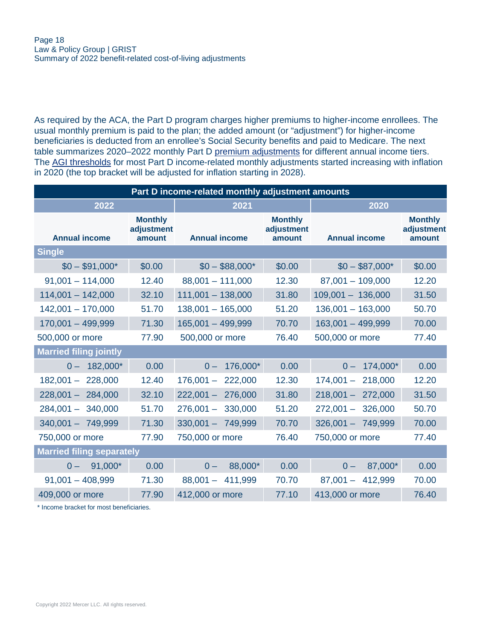As required by the ACA, the Part D program charges higher premiums to higher-income enrollees. The usual monthly premium is paid to the plan; the added amount (or "adjustment") for higher-income beneficiaries is deducted from an enrollee's Social Security benefits and paid to Medicare. The next table summarizes 2020–2022 monthly Part D [premium adjustments](https://www.cms.gov/files/document/july-29-2021-parts-c-d-announcement.pdf) for different annual income tiers. The [AGI thresholds](https://www.cms.gov/newsroom/fact-sheets/2022-medicare-parts-b-premiums-and-deductibles2022-medicare-part-d-income-related-monthly-adjustment) for most Part D income-related monthly adjustments started increasing with inflation in 2020 (the top bracket will be adjusted for inflation starting in 2028).

| Part D income-related monthly adjustment amounts |                                        |                      |                                        |                      |                                        |  |  |  |  |
|--------------------------------------------------|----------------------------------------|----------------------|----------------------------------------|----------------------|----------------------------------------|--|--|--|--|
| 2022                                             |                                        | 2021                 |                                        | 2020                 |                                        |  |  |  |  |
| <b>Annual income</b>                             | <b>Monthly</b><br>adjustment<br>amount | <b>Annual income</b> | <b>Monthly</b><br>adjustment<br>amount | <b>Annual income</b> | <b>Monthly</b><br>adjustment<br>amount |  |  |  |  |
| <b>Single</b>                                    |                                        |                      |                                        |                      |                                        |  |  |  |  |
| $$0 - $91,000*$                                  | \$0.00                                 | $$0 - $88,000*$      | \$0.00                                 | $$0 - $87,000*$      | \$0.00                                 |  |  |  |  |
| $91,001 - 114,000$                               | 12.40                                  | $88,001 - 111,000$   | 12.30                                  | $87,001 - 109,000$   | 12.20                                  |  |  |  |  |
| $114,001 - 142,000$                              | 32.10                                  | $111,001 - 138,000$  | 31.80                                  | $109,001 - 136,000$  | 31.50                                  |  |  |  |  |
| $142,001 - 170,000$                              | 51.70                                  | $138,001 - 165,000$  | 51.20                                  | $136,001 - 163,000$  | 50.70                                  |  |  |  |  |
| $170,001 - 499,999$                              | 71.30                                  | $165,001 - 499,999$  | 70.70                                  | 163,001 - 499,999    | 70.00                                  |  |  |  |  |
| 500,000 or more                                  | 77.90                                  | 500,000 or more      | 76.40                                  | 500,000 or more      | 77.40                                  |  |  |  |  |
| <b>Married filing jointly</b>                    |                                        |                      |                                        |                      |                                        |  |  |  |  |
| $0 - 182,000^*$                                  | 0.00                                   | $0 - 176,000*$       | 0.00                                   | $0 - 174,000^*$      | 0.00                                   |  |  |  |  |
| $182,001 - 228,000$                              | 12.40                                  | $176,001 - 222,000$  | 12.30                                  | $174,001 - 218,000$  | 12.20                                  |  |  |  |  |
| $228,001 - 284,000$                              | 32.10                                  | $222,001 - 276,000$  | 31.80                                  | $218,001 - 272,000$  | 31.50                                  |  |  |  |  |
| $284,001 - 340,000$                              | 51.70                                  | $276,001 - 330,000$  | 51.20                                  | $272,001 - 326,000$  | 50.70                                  |  |  |  |  |
| $340,001 - 749,999$                              | 71.30                                  | $330,001 - 749,999$  | 70.70                                  | $326,001 - 749,999$  | 70.00                                  |  |  |  |  |
| 750,000 or more                                  | 77.90                                  | 750,000 or more      | 76.40                                  | 750,000 or more      | 77.40                                  |  |  |  |  |
| <b>Married filing separately</b>                 |                                        |                      |                                        |                      |                                        |  |  |  |  |
| 91,000*<br>$0 -$                                 | 0.00                                   | 88,000*<br>$0 -$     | 0.00                                   | 87,000*<br>$0 -$     | 0.00                                   |  |  |  |  |
| $91,001 - 408,999$                               | 71.30                                  | $88,001 - 411,999$   | 70.70                                  | $87,001 - 412,999$   | 70.00                                  |  |  |  |  |
| 409,000 or more                                  | 77.90                                  | 412,000 or more      | 77.10                                  | 413,000 or more      | 76.40                                  |  |  |  |  |

\* Income bracket for most beneficiaries.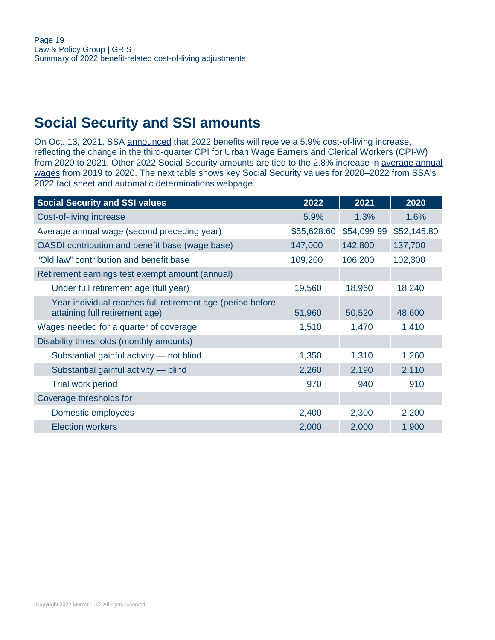# <span id="page-18-0"></span>**Social Security and SSI amounts**

On Oct. 13, 2021, SSA [announced](https://www.ssa.gov/news/press/releases/2021/#10-2021-2) that 2022 benefits will receive a 5.9% cost-of-living increase, reflecting the change in the third-quarter CPI for Urban Wage Earners and Clerical Workers (CPI-W) from 2020 to 2021. Other 2022 Social Security amounts are tied to the 2.8% increase in [average annual](https://www.ssa.gov/OACT/COLA/AWI.html) [wages](https://www.ssa.gov/OACT/COLA/AWI.html) from 2019 to 2020. The next table shows key Social Security values for 2020–2022 from SSA's 2022 [fact sheet](https://www.ssa.gov/news/press/factsheets/colafacts2022.pdf) and [automatic determinations](http://www.socialsecurity.gov/OACT/COLA/autoAdj.html) webpage.

| <b>Social Security and SSI values</b>                                                        | 2022        | 2021        | 2020        |
|----------------------------------------------------------------------------------------------|-------------|-------------|-------------|
| Cost-of-living increase                                                                      | 5.9%        | 1.3%        | 1.6%        |
| Average annual wage (second preceding year)                                                  | \$55,628.60 | \$54,099.99 | \$52,145.80 |
| OASDI contribution and benefit base (wage base)                                              | 147,000     | 142,800     | 137,700     |
| "Old law" contribution and benefit base                                                      | 109,200     | 106,200     | 102,300     |
| Retirement earnings test exempt amount (annual)                                              |             |             |             |
| Under full retirement age (full year)                                                        | 19,560      | 18,960      | 18,240      |
| Year individual reaches full retirement age (period before<br>attaining full retirement age) | 51,960      | 50,520      | 48,600      |
| Wages needed for a quarter of coverage                                                       | 1,510       | 1,470       | 1,410       |
| Disability thresholds (monthly amounts)                                                      |             |             |             |
| Substantial gainful activity - not blind                                                     | 1,350       | 1,310       | 1,260       |
| Substantial gainful activity - blind                                                         | 2,260       | 2,190       | 2,110       |
| <b>Trial work period</b>                                                                     | 970         | 940         | 910         |
| Coverage thresholds for                                                                      |             |             |             |
| Domestic employees                                                                           | 2,400       | 2,300       | 2,200       |
| <b>Election workers</b>                                                                      | 2,000       | 2,000       | 1,900       |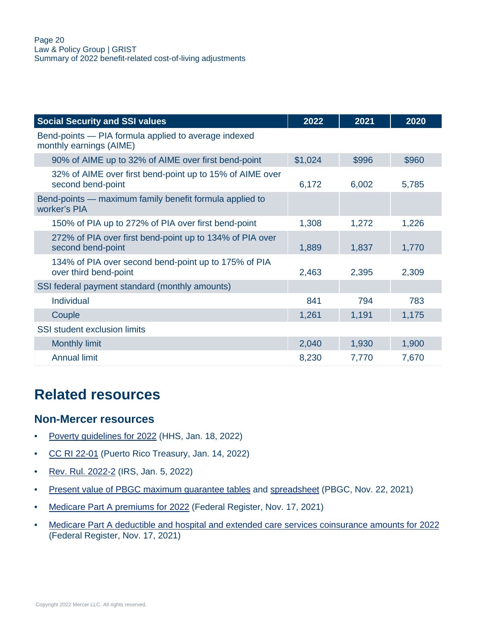| <b>Social Security and SSI values</b>                                           | 2022    | 2021  | 2020  |
|---------------------------------------------------------------------------------|---------|-------|-------|
| Bend-points - PIA formula applied to average indexed<br>monthly earnings (AIME) |         |       |       |
| 90% of AIME up to 32% of AIME over first bend-point                             | \$1,024 | \$996 | \$960 |
| 32% of AIME over first bend-point up to 15% of AIME over<br>second bend-point   | 6,172   | 6,002 | 5,785 |
| Bend-points – maximum family benefit formula applied to<br>worker's PIA         |         |       |       |
| 150% of PIA up to 272% of PIA over first bend-point                             | 1,308   | 1,272 | 1,226 |
| 272% of PIA over first bend-point up to 134% of PIA over<br>second bend-point   | 1,889   | 1,837 | 1,770 |
| 134% of PIA over second bend-point up to 175% of PIA<br>over third bend-point   | 2,463   | 2,395 | 2,309 |
| SSI federal payment standard (monthly amounts)                                  |         |       |       |
| <b>Individual</b>                                                               | 841     | 794   | 783   |
| Couple                                                                          | 1,261   | 1,191 | 1,175 |
| <b>SSI</b> student exclusion limits                                             |         |       |       |
| <b>Monthly limit</b>                                                            | 2,040   | 1,930 | 1,900 |
| <b>Annual limit</b>                                                             | 8,230   | 7,770 | 7,670 |

# <span id="page-19-0"></span>**Related resources**

#### **Non-Mercer resources**

- [Poverty guidelines for 2022](https://aspe.hhs.gov/topics/poverty-economic-mobility/poverty-guidelines) (HHS, Jan. 18, 2022)
- [CC RI 22-01](http://www.hacienda.gobierno.pr/publicaciones/carta-circular-de-rentas-internas-num-22-01-cc-ri-22-01) (Puerto Rico Treasury, Jan. 14, 2022)
- [Rev. Rul. 2022-2](https://www.irs.gov/pub/irs-drop/rr-22-02.pdf) (IRS, Jan. 5, 2022)
- [Present value of PBGC maximum guarantee tables](https://www.pbgc.gov/prac/mortality-retirement-and-pv-max-guarantee/present-guarantee) and [spreadsheet](https://www.pbgc.gov/sites/default/files/2022-pv-max-two-column-format.xlsx) (PBGC, Nov. 22, 2021)
- [Medicare Part A premiums for 2022](https://www.federalregister.gov/documents/2021/11/17/2021-25052/medicare-program-cy-2022-part-a-premiums-for-the-uninsured-aged-and-for-certain-disabled-individuals) (Federal Register, Nov. 17, 2021)
- [Medicare Part A deductible and hospital and extended care services coinsurance amounts for 2022](https://www.federalregister.gov/documents/2021/11/17/2021-25051/medicare-program-cy-2022-inpatient-hospital-deductible-and-hospital-and-extended-care-services) (Federal Register, Nov. 17, 2021)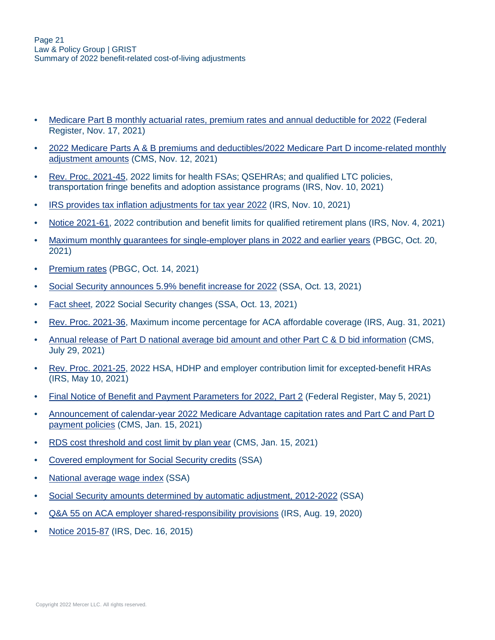- [Medicare Part B monthly actuarial rates, premium rates and annual deductible for 2022](https://www.federalregister.gov/documents/2021/11/17/2021-25050/medicare-program-medicare-part-b-monthly-actuarial-rates-premium-rates-and-annual-deductible) (Federal Register, Nov. 17, 2021)
- [2022 Medicare Parts A & B premiums and deductibles/2022 Medicare Part D income-related monthly](https://www.cms.gov/newsroom/fact-sheets/2022-medicare-parts-b-premiums-and-deductibles2022-medicare-part-d-income-related-monthly-adjustment) [adjustment amounts](https://www.cms.gov/newsroom/fact-sheets/2022-medicare-parts-b-premiums-and-deductibles2022-medicare-part-d-income-related-monthly-adjustment) (CMS, Nov. 12, 2021)
- [Rev. Proc. 2021-45](https://www.irs.gov/pub/irs-drop/rp-21-45.pdf), 2022 limits for health FSAs; QSEHRAs; and qualified LTC policies, transportation fringe benefits and adoption assistance programs (IRS, Nov. 10, 2021)
- [IRS provides tax inflation adjustments for tax year 2022](https://www.irs.gov/newsroom/irs-provides-tax-inflation-adjustments-for-tax-year-2022) (IRS, Nov. 10, 2021)
- [Notice 2021-61](https://www.irs.gov/pub/irs-drop/n-21-61.pdf), 2022 contribution and benefit limits for qualified retirement plans (IRS, Nov. 4, 2021)
- [Maximum monthly guarantees for single-employer plans in 2022 and earlier years](https://www.pbgc.gov/wr/benefits/guaranteed-benefits/maximum-guarantee) (PBGC, Oct. 20, 2021)
- [Premium rates](https://www.pbgc.gov/prac/prem/premium-rates) (PBGC, Oct. 14, 2021)
- [Social Security announces 5.9% benefit increase for 2022](https://www.ssa.gov/news/press/releases/2021/#10-2021-2) (SSA, Oct. 13, 2021)
- [Fact sheet,](https://www.ssa.gov/news/press/factsheets/colafacts2022.pdf) 2022 Social Security changes (SSA, Oct. 13, 2021)
- [Rev. Proc. 2021-36](https://www.irs.gov/irb/2021-35_IRB#REV-PROC-2021-36), Maximum income percentage for ACA affordable coverage (IRS, Aug. 31, 2021)
- [Annual release of Part D national average bid amount and other Part C & D bid information](https://www.cms.gov/files/document/july-29-2021-parts-c-d-announcement.pdf) (CMS, July 29, 2021)
- [Rev. Proc. 2021-25](https://www.irs.gov/pub/irs-drop/rp-21-25.pdf), 2022 HSA, HDHP and employer contribution limit for excepted-benefit HRAs (IRS, May 10, 2021)
- [Final Notice of Benefit and Payment Parameters for 2022, Part 2](https://www.federalregister.gov/documents/2021/05/05/2021-09102/patient-protection-and-affordable-care-act-hhs-notice-of-benefit-and-payment-parameters-for-2022-and) (Federal Register, May 5, 2021)
- [Announcement of calendar-year 2022 Medicare Advantage capitation rates and Part C and Part D](https://www.cms.gov/files/document/2022-announcement.pdf) [payment policies](https://www.cms.gov/files/document/2022-announcement.pdf) (CMS, Jan. 15, 2021)
- [RDS cost threshold and cost limit by plan year](https://www.rds.cms.hhs.gov/?q=regulations-guidance/cost-threshold-and-cost-limit-plan-year) (CMS, Jan. 15, 2021)
- [Covered employment for Social Security credits](http://www.ssa.gov/retire2/credits1.htm) (SSA)
- [National average wage index](https://www.ssa.gov/OACT/COLA/AWI.html) (SSA)
- [Social Security amounts determined by automatic adjustment, 2012-2022](https://www.ssa.gov/OACT/COLA/autoAdj.html) (SSA)
- [Q&A 55 on ACA employer shared-responsibility provisions](https://www.irs.gov/affordable-care-act/employers/questions-and-answers-on-employer-shared-responsibility-provisions-under-the-affordable-care-act#Calculation) (IRS, Aug. 19, 2020)
- [Notice 2015-87](https://www.irs.gov/pub/irs-drop/n-15-87.pdf) (IRS, Dec. 16, 2015)